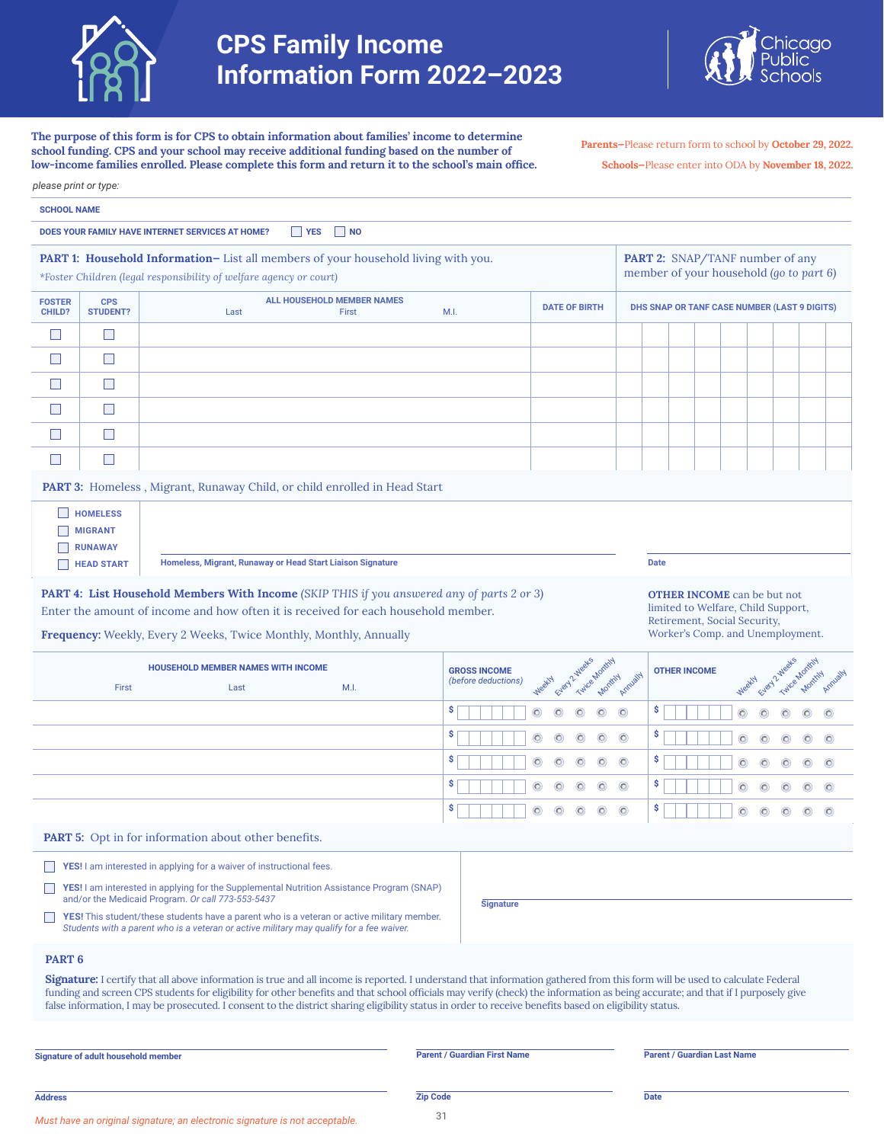



**The purpose of this form is for CPS to obtain information about families' income to determine school funding. CPS and your school may receive additional funding based on the number of** 

**Parents—**Please return form to school by **October 29, 2022.** 

|         | <b>DATE OF BIRTH</b>                      | <b>Date</b> | PART 2: SNAP/TANF number of any<br>member of your household (go to part 6)<br>DHS SNAP OR TANF CASE NUMBER (LAST 9 DIGITS) |   |       |               |                           |         |
|---------|-------------------------------------------|-------------|----------------------------------------------------------------------------------------------------------------------------|---|-------|---------------|---------------------------|---------|
|         |                                           |             |                                                                                                                            |   |       |               |                           |         |
|         |                                           |             |                                                                                                                            |   |       |               |                           |         |
|         |                                           |             |                                                                                                                            |   |       |               |                           |         |
|         |                                           |             |                                                                                                                            |   |       |               |                           |         |
|         |                                           |             |                                                                                                                            |   |       |               |                           |         |
|         |                                           |             |                                                                                                                            |   |       |               |                           |         |
|         |                                           |             |                                                                                                                            |   |       |               |                           |         |
|         |                                           |             |                                                                                                                            |   |       |               |                           |         |
|         |                                           |             |                                                                                                                            |   |       |               |                           |         |
|         |                                           |             |                                                                                                                            |   |       |               |                           |         |
|         |                                           |             |                                                                                                                            |   |       |               |                           |         |
|         |                                           |             |                                                                                                                            |   |       |               |                           |         |
|         |                                           |             | <b>OTHER INCOME</b> can be but not<br>limited to Welfare, Child Support,                                                   |   |       |               |                           |         |
|         |                                           |             | Retirement, Social Security,<br>Worker's Comp. and Unemployment.                                                           |   |       |               |                           |         |
|         | Every 2 Weeks<br>Twice Monthly<br>Monthly | Armyally    | <b>OTHER INCOME</b>                                                                                                        |   | WeekN | Every 2 Weeks | Twice Monthly<br>Montrity |         |
| $\odot$ | $\odot$<br>O                              | s           |                                                                                                                            |   |       |               |                           |         |
| $\circ$ | O                                         | \$          |                                                                                                                            |   |       |               |                           | O       |
| $\circ$ | $\circ$<br>$\circ$                        | \$          |                                                                                                                            | O | ര     |               | (O)                       | $\circ$ |
| $\odot$ | $\circ$<br>$\circ$                        | \$          |                                                                                                                            | O | O     |               | O                         | O       |
| O       | $\odot$<br>$\circ$                        |             |                                                                                                                            |   |       |               |                           |         |
|         |                                           |             |                                                                                                                            |   |       |               |                           |         |
|         |                                           |             |                                                                                                                            |   |       |               |                           |         |
|         |                                           |             |                                                                                                                            |   |       |               |                           |         |
|         |                                           |             |                                                                                                                            |   |       |               |                           |         |
|         |                                           |             |                                                                                                                            |   |       |               |                           |         |

funding and screen CPS students for eligibility for other benefits and that school officials may verify (check) the information as being accurate; and that if I purposely give false information, I may be prosecuted. I consent to the district sharing eligibility status in order to receive benefits based on eligibility status.

**Signature of adult household member Parent / Guardian First Name Parent / Guardian Last Name**